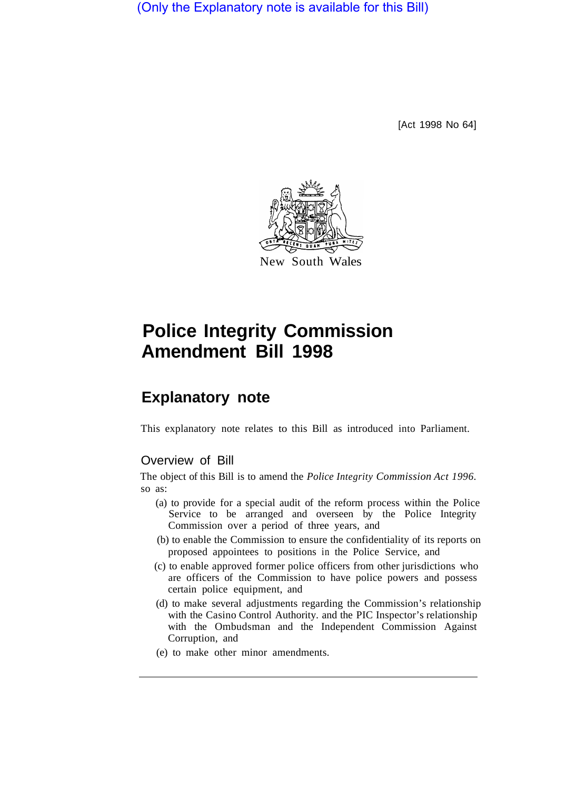(Only the Explanatory note is available for this Bill)

[Act 1998 No 64]



# **Police Integrity Commission Amendment Bill 1998**

# **Explanatory note**

This explanatory note relates to this Bill as introduced into Parliament.

### Overview of Bill

The object of this Bill is to amend the *Police Integrity Commission Act 1996.*  so as:

- (a) to provide for a special audit of the reform process within the Police Service to be arranged and overseen by the Police Integrity Commission over a period of three years, and
- (b) to enable the Commission to ensure the confidentiality of its reports on proposed appointees to positions in the Police Service, and
- (c) to enable approved former police officers from other jurisdictions who are officers of the Commission to have police powers and possess certain police equipment, and
- (d) to make several adjustments regarding the Commission's relationship with the Casino Control Authority. and the PIC Inspector's relationship with the Ombudsman and the Independent Commission Against Corruption, and
- (e) to make other minor amendments.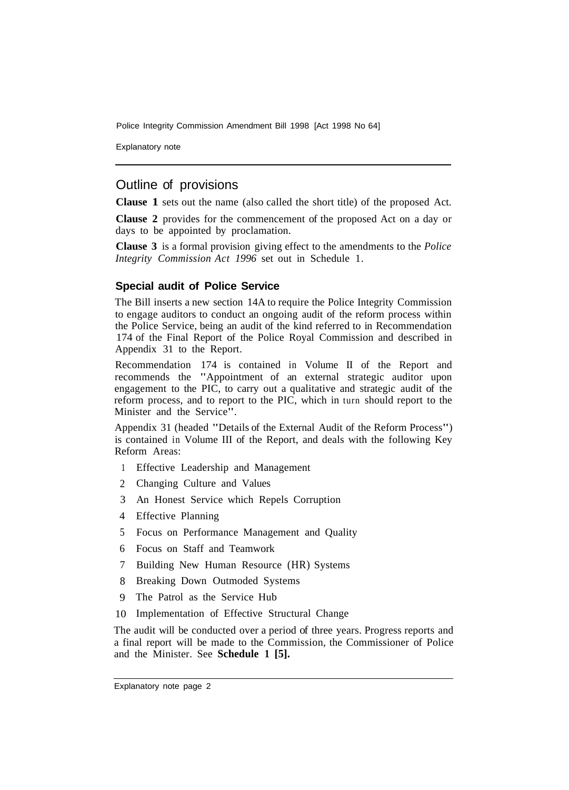Police Integrity Commission Amendment Bill 1998 [Act 1998 No 64]

Explanatory note

## Outline of provisions

**Clause 1** sets out the name (also called the short title) of the proposed Act.

**Clause 2** provides for the commencement of the proposed Act on a day or days to be appointed by proclamation.

**Clause 3** is a formal provision giving effect to the amendments to the *Police Integrity Commission Act 1996* set out in Schedule 1.

#### **Special audit of Police Service**

The Bill inserts a new section 14A to require the Police Integrity Commission to engage auditors to conduct an ongoing audit of the reform process within the Police Service, being an audit of the kind referred to in Recommendation 174 of the Final Report of the Police Royal Commission and described in Appendix 31 to the Report.

Recommendation 174 is contained in Volume II of the Report and recommends the "Appointment of an external strategic auditor upon engagement to the PIC, to carry out a qualitative and strategic audit of the reform process, and to report to the PIC, which in turn should report to the Minister and the Service".

Appendix 31 (headed "Details of the External Audit of the Reform Process") is contained in Volume III of the Report, and deals with the following Key Reform Areas:

- 1 Effective Leadership and Management
- 2 Changing Culture and Values
- 3 An Honest Service which Repels Corruption
- 4 Effective Planning
- 5 Focus on Performance Management and Quality
- 6 Focus on Staff and Teamwork
- 7 Building New Human Resource (HR) Systems
- 8 Breaking Down Outmoded Systems
- 9 The Patrol as the Service Hub
- 10 Implementation of Effective Structural Change

The audit will be conducted over a period of three years. Progress reports and a final report will be made to the Commission, the Commissioner of Police and the Minister. See **Schedule 1 [5].**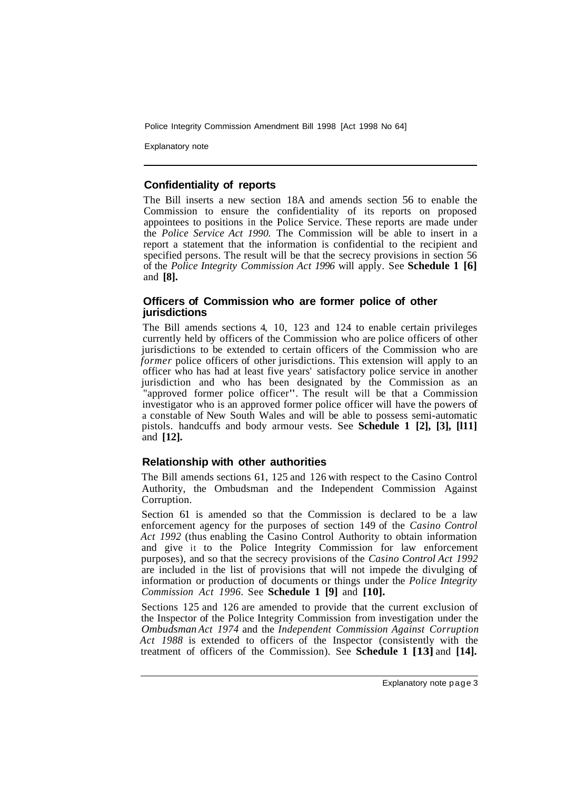Police Integrity Commission Amendment Bill 1998 [Act 1998 No 64]

Explanatory note

#### **Confidentiality of reports**

The Bill inserts a new section 18A and amends section 56 to enable the Commission to ensure the confidentiality of its reports on proposed appointees to positions in the Police Service. These reports are made under the *Police Service Act 1990.* The Commission will be able to insert in a report a statement that the information is confidential to the recipient and specified persons. The result will be that the secrecy provisions in section 56 of the *Police Integrity Commission Act 1996* will apply. See **Schedule 1 [6]**  and **[8].** 

#### **Officers of Commission who are former police of other jurisdictions**

The Bill amends sections 4, 10, 123 and 124 to enable certain privileges currently held by officers of the Commission who are police officers of other jurisdictions to be extended to certain officers of the Commission who are *former* police officers of other jurisdictions. This extension will apply to an officer who has had at least five years' satisfactory police service in another jurisdiction and who has been designated by the Commission as an "approved former police officer". The result will be that a Commission investigator who is an approved former police officer will have the powers of a constable of New South Wales and will be able to possess semi-automatic pistols. handcuffs and body armour vests. See **Schedule 1 [2], [3], [l11]**  and **[12].** 

#### **Relationship with other authorities**

The Bill amends sections 61, 125 and 126 with respect to the Casino Control Authority, the Ombudsman and the Independent Commission Against Corruption.

Section 61 is amended so that the Commission is declared to be a law enforcement agency for the purposes of section 149 of the *Casino Control Act 1992* (thus enabling the Casino Control Authority to obtain information and give it to the Police Integrity Commission for law enforcement purposes), and so that the secrecy provisions of the *Casino Control Act 1992*  are included in the list of provisions that will not impede the divulging of information or production of documents or things under the *Police Integrity Commission Act 1996.* See **Schedule 1 [9]** and **[10].** 

Sections 125 and 126 are amended to provide that the current exclusion of the Inspector of the Police Integrity Commission from investigation under the *Ombudsman Act 1974* and the *Independent Commission Against Corruption Act 1988* is extended to officers of the Inspector (consistently with the treatment of officers of the Commission). See **Schedule 1 [13]** and **[14].**